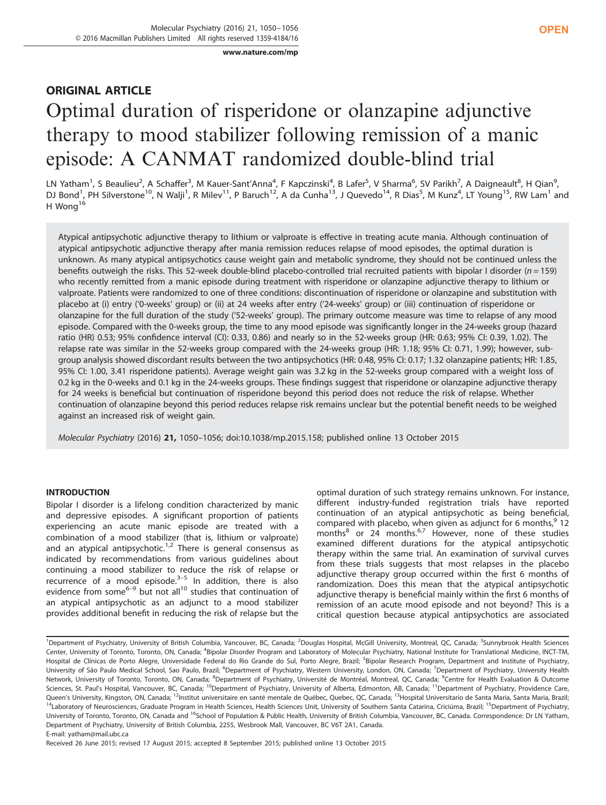www.nature.com/mp

# ORIGINAL ARTICLE Optimal duration of risperidone or olanzapine adjunctive therapy to mood stabilizer following remission of a manic episode: A CANMAT randomized double-blind trial

LN Yatham<sup>1</sup>, S Beaulieu<sup>2</sup>, A Schaffer<sup>3</sup>, M Kauer-Sant'Anna<sup>4</sup>, F Kapczinski<sup>4</sup>, B Lafer<sup>5</sup>, V Sharma<sup>6</sup>, SV Parikh<sup>7</sup>, A Daigneault<sup>8</sup>, H Qian<sup>9</sup>, DJ Bond<sup>1</sup>, PH Silverstone<sup>10</sup>, N Walji<sup>1</sup>, R Milev<sup>11</sup>, P Baruch<sup>12</sup>, A da Cunha<sup>13</sup>, J Quevedo<sup>14</sup>, R Dias<sup>5</sup>, M Kunz<sup>4</sup>, LT Young<sup>15</sup>, RW Lam<sup>1</sup> and H Wong<sup>16</sup>

Atypical antipsychotic adjunctive therapy to lithium or valproate is effective in treating acute mania. Although continuation of atypical antipsychotic adjunctive therapy after mania remission reduces relapse of mood episodes, the optimal duration is unknown. As many atypical antipsychotics cause weight gain and metabolic syndrome, they should not be continued unless the benefits outweigh the risks. This 52-week double-blind placebo-controlled trial recruited patients with bipolar I disorder ( $n = 159$ ) who recently remitted from a manic episode during treatment with risperidone or olanzapine adjunctive therapy to lithium or valproate. Patients were randomized to one of three conditions: discontinuation of risperidone or olanzapine and substitution with placebo at (i) entry ('0-weeks' group) or (ii) at 24 weeks after entry ('24-weeks' group) or (iii) continuation of risperidone or olanzapine for the full duration of the study ('52-weeks' group). The primary outcome measure was time to relapse of any mood episode. Compared with the 0-weeks group, the time to any mood episode was significantly longer in the 24-weeks group (hazard ratio (HR) 0.53; 95% confidence interval (CI): 0.33, 0.86) and nearly so in the 52-weeks group (HR: 0.63; 95% CI: 0.39, 1.02). The relapse rate was similar in the 52-weeks group compared with the 24-weeks group (HR: 1.18; 95% CI: 0.71, 1.99); however, subgroup analysis showed discordant results between the two antipsychotics (HR: 0.48, 95% CI: 0.17; 1.32 olanzapine patients; HR: 1.85, 95% CI: 1.00, 3.41 risperidone patients). Average weight gain was 3.2 kg in the 52-weeks group compared with a weight loss of 0.2 kg in the 0-weeks and 0.1 kg in the 24-weeks groups. These findings suggest that risperidone or olanzapine adjunctive therapy for 24 weeks is beneficial but continuation of risperidone beyond this period does not reduce the risk of relapse. Whether continuation of olanzapine beyond this period reduces relapse risk remains unclear but the potential benefit needs to be weighed against an increased risk of weight gain.

Molecular Psychiatry (2016) 21, 1050–1056; doi:10.1038/mp.2015.158; published online 13 October 2015

# INTRODUCTION

Bipolar I disorder is a lifelong condition characterized by manic and depressive episodes. A significant proportion of patients experiencing an acute manic episode are treated with a combination of a mood stabilizer (that is, lithium or valproate) and an atypical antipsychotic.<sup>1,2</sup> There is general consensus as indicated by recommendations from various guidelines about continuing a mood stabilizer to reduce the risk of relapse or recurrence of a mood episode. $3-5$  In addition, there is also evidence from some $6-9$  but not all<sup>10</sup> studies that continuation of an atypical antipsychotic as an adjunct to a mood stabilizer provides additional benefit in reducing the risk of relapse but the optimal duration of such strategy remains unknown. For instance, different industry-funded registration trials have reported continuation of an atypical antipsychotic as being beneficial, compared with placebo, when given as adjunct for 6 months,  $912$ months $^{8}$  or 24 months. $^{6,7}$  However, none of these studies examined different durations for the atypical antipsychotic therapy within the same trial. An examination of survival curves from these trials suggests that most relapses in the placebo adjunctive therapy group occurred within the first 6 months of randomization. Does this mean that the atypical antipsychotic adjunctive therapy is beneficial mainly within the first 6 months of remission of an acute mood episode and not beyond? This is a critical question because atypical antipsychotics are associated

<sup>&</sup>lt;sup>1</sup>Department of Psychiatry, University of British Columbia, Vancouver, BC, Canada; <sup>2</sup>Douglas Hospital, McGill University, Montreal, QC, Canada; <sup>3</sup>Sunnybrook Health Sciences Center, University of Toronto, Toronto, ON, Canada; <sup>4</sup>Bipolar Disorder Program and Laboratory of Molecular Psychiatry, National Institute for Translational Medicine, INCT-TM, Hospital de Clínicas de Porto Alegre, Universidade Federal do Rio Grande do Sul, Porto Alegre, Brazil; <sup>5</sup>Bipolar Research Program, Department and Institute of Psychiatry, University of São Paulo Medical School, Sao Paulo, Brazil; <sup>6</sup>Department of Psychiatry, Western University, London, ON, Canada; <sup>7</sup>Department of Psychiatry, University Health Network, University of Toronto, Toronto, ON, Canada; <sup>8</sup>Department of Psychiatry, Université de Montréal, Montreal, QC, Canada; <sup>9</sup>Centre for Health Evaluation & Outcome Sciences, St. Paul's Hospital, Vancouver, BC, Canada; <sup>10</sup>Department of Psychiatry, University of Alberta, Edmonton, AB, Canada; <sup>11</sup>Department of Psychiatry, Providence Care, Queen's University, Kingston, ON, Canada; <sup>12</sup>Institut universitaire en santé mentale de Québec, Quebec, QC, Canada; <sup>13</sup>Hospital Universitario de Santa Maria, Santa Maria, Brazil; <sup>14</sup>Laboratory of Neurosciences, Graduate Program in Health Sciences, Health Sciences Unit, University of Southern Santa Catarina, Criciúma, Brazil; <sup>15</sup>Department of Psychiatry, University of Toronto, Toronto, ON, Canada and <sup>16</sup>School of Population & Public Health, University of British Columbia, Vancouver, BC, Canada. Correspondence: Dr LN Yatham, Department of Psychiatry, University of British Columbia, 2255, Wesbrook Mall, Vancouver, BC V6T 2A1, Canada. E-mail: yatham@mail.ubc.ca

Received 26 June 2015; revised 17 August 2015; accepted 8 September 2015; published online 13 October 2015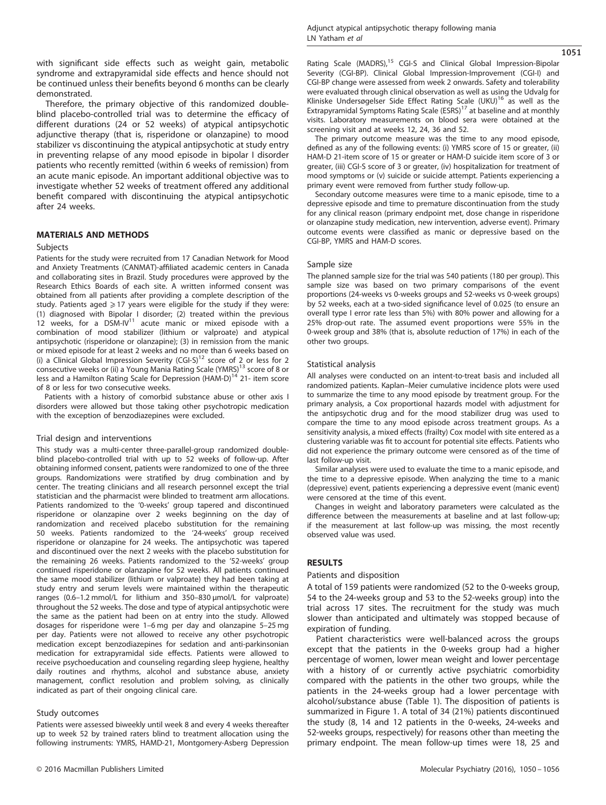with significant side effects such as weight gain, metabolic syndrome and extrapyramidal side effects and hence should not be continued unless their benefits beyond 6 months can be clearly demonstrated.

Therefore, the primary objective of this randomized doubleblind placebo-controlled trial was to determine the efficacy of different durations (24 or 52 weeks) of atypical antipsychotic adjunctive therapy (that is, risperidone or olanzapine) to mood stabilizer vs discontinuing the atypical antipsychotic at study entry in preventing relapse of any mood episode in bipolar I disorder patients who recently remitted (within 6 weeks of remission) from an acute manic episode. An important additional objective was to investigate whether 52 weeks of treatment offered any additional benefit compared with discontinuing the atypical antipsychotic after 24 weeks.

#### MATERIALS AND METHODS

## **Subjects**

Patients for the study were recruited from 17 Canadian Network for Mood and Anxiety Treatments (CANMAT)-affiliated academic centers in Canada and collaborating sites in Brazil. Study procedures were approved by the Research Ethics Boards of each site. A written informed consent was obtained from all patients after providing a complete description of the study. Patients aged  $\geq 17$  years were eligible for the study if they were: (1) diagnosed with Bipolar I disorder; (2) treated within the previous 12 weeks, for a DSM-IV<sup>11</sup> acute manic or mixed episode with a combination of mood stabilizer (lithium or valproate) and atypical antipsychotic (risperidone or olanzapine); (3) in remission from the manic or mixed episode for at least 2 weeks and no more than 6 weeks based on (i) a Clinical Global Impression Severity (CGI-S) $^{12}$  score of 2 or less for 2 consecutive weeks or (ii) a Young Mania Rating Scale (YMRS)13 score of 8 or less and a Hamilton Rating Scale for Depression (HAM-D)<sup>14</sup> 21- item score of 8 or less for two consecutive weeks.

Patients with a history of comorbid substance abuse or other axis I disorders were allowed but those taking other psychotropic medication with the exception of benzodiazepines were excluded.

#### Trial design and interventions

This study was a multi-center three-parallel-group randomized doubleblind placebo-controlled trial with up to 52 weeks of follow-up. After obtaining informed consent, patients were randomized to one of the three groups. Randomizations were stratified by drug combination and by center. The treating clinicians and all research personnel except the trial statistician and the pharmacist were blinded to treatment arm allocations. Patients randomized to the '0-weeks' group tapered and discontinued risperidone or olanzapine over 2 weeks beginning on the day of randomization and received placebo substitution for the remaining 50 weeks. Patients randomized to the '24-weeks' group received risperidone or olanzapine for 24 weeks. The antipsychotic was tapered and discontinued over the next 2 weeks with the placebo substitution for the remaining 26 weeks. Patients randomized to the '52-weeks' group continued risperidone or olanzapine for 52 weeks. All patients continued the same mood stabilizer (lithium or valproate) they had been taking at study entry and serum levels were maintained within the therapeutic ranges (0.6–1.2 mmol/L for lithium and 350–830 μmol/L for valproate) throughout the 52 weeks. The dose and type of atypical antipsychotic were the same as the patient had been on at entry into the study. Allowed dosages for risperidone were 1–6 mg per day and olanzapine 5–25 mg per day. Patients were not allowed to receive any other psychotropic medication except benzodiazepines for sedation and anti-parkinsonian medication for extrapyramidal side effects. Patients were allowed to receive psychoeducation and counseling regarding sleep hygiene, healthy daily routines and rhythms, alcohol and substance abuse, anxiety management, conflict resolution and problem solving, as clinically indicated as part of their ongoing clinical care.

#### Study outcomes

Patients were assessed biweekly until week 8 and every 4 weeks thereafter up to week 52 by trained raters blind to treatment allocation using the following instruments: YMRS, HAMD-21, Montgomery-Asberg Depression 1051

Rating Scale (MADRS),<sup>15</sup> CGI-S and Clinical Global Impression-Bipolar Severity (CGI-BP). Clinical Global Impression-Improvement (CGI-I) and CGI-BP change were assessed from week 2 onwards. Safety and tolerability were evaluated through clinical observation as well as using the Udvalg for Kliniske Undersøgelser Side Effect Rating Scale (UKU)16 as well as the Extrapyramidal Symptoms Rating Scale (ESRS)<sup>17</sup> at baseline and at monthly visits. Laboratory measurements on blood sera were obtained at the screening visit and at weeks 12, 24, 36 and 52.

The primary outcome measure was the time to any mood episode, defined as any of the following events: (i) YMRS score of 15 or greater, (ii) HAM-D 21-item score of 15 or greater or HAM-D suicide item score of 3 or greater, (iii) CGI-S score of 3 or greater, (iv) hospitalization for treatment of mood symptoms or (v) suicide or suicide attempt. Patients experiencing a primary event were removed from further study follow-up.

Secondary outcome measures were time to a manic episode, time to a depressive episode and time to premature discontinuation from the study for any clinical reason (primary endpoint met, dose change in risperidone or olanzapine study medication, new intervention, adverse event). Primary outcome events were classified as manic or depressive based on the CGI-BP, YMRS and HAM-D scores.

#### Sample size

The planned sample size for the trial was 540 patients (180 per group). This sample size was based on two primary comparisons of the event proportions (24-weeks vs 0-weeks groups and 52-weeks vs 0-week groups) by 52 weeks, each at a two-sided significance level of 0.025 (to ensure an overall type I error rate less than 5%) with 80% power and allowing for a 25% drop-out rate. The assumed event proportions were 55% in the 0-week group and 38% (that is, absolute reduction of 17%) in each of the other two groups.

### Statistical analysis

All analyses were conducted on an intent-to-treat basis and included all randomized patients. Kaplan–Meier cumulative incidence plots were used to summarize the time to any mood episode by treatment group. For the primary analysis, a Cox proportional hazards model with adjustment for the antipsychotic drug and for the mood stabilizer drug was used to compare the time to any mood episode across treatment groups. As a sensitivity analysis, a mixed effects (frailty) Cox model with site entered as a clustering variable was fit to account for potential site effects. Patients who did not experience the primary outcome were censored as of the time of last follow-up visit.

Similar analyses were used to evaluate the time to a manic episode, and the time to a depressive episode. When analyzing the time to a manic (depressive) event, patients experiencing a depressive event (manic event) were censored at the time of this event.

Changes in weight and laboratory parameters were calculated as the difference between the measurements at baseline and at last follow-up; if the measurement at last follow-up was missing, the most recently observed value was used.

#### RESULTS

### Patients and disposition

A total of 159 patients were randomized (52 to the 0-weeks group, 54 to the 24-weeks group and 53 to the 52-weeks group) into the trial across 17 sites. The recruitment for the study was much slower than anticipated and ultimately was stopped because of expiration of funding.

Patient characteristics were well-balanced across the groups except that the patients in the 0-weeks group had a higher percentage of women, lower mean weight and lower percentage with a history of or currently active psychiatric comorbidity compared with the patients in the other two groups, while the patients in the 24-weeks group had a lower percentage with alcohol/substance abuse (Table 1). The disposition of patients is summarized in Figure 1. A total of 34 (21%) patients discontinued the study (8, 14 and 12 patients in the 0-weeks, 24-weeks and 52-weeks groups, respectively) for reasons other than meeting the primary endpoint. The mean follow-up times were 18, 25 and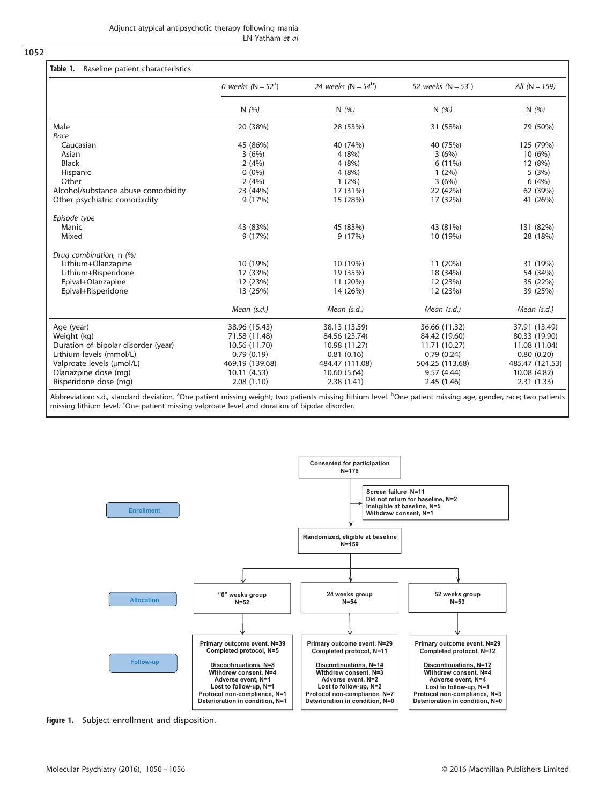1052

|                                     | 0 weeks ( $N = 52a$ ) | 24 weeks ( $N = 54^b$ ) | 52 weeks ( $N = 53^{\circ}$ ) | All $(N = 159)$ |  |
|-------------------------------------|-----------------------|-------------------------|-------------------------------|-----------------|--|
|                                     | N $(%)$               | N $(%)$                 | N $(%)$                       | N $(\% )$       |  |
| Male                                | 20 (38%)              | 28 (53%)                | 31 (58%)                      | 79 (50%)        |  |
| Race                                |                       |                         |                               |                 |  |
| Caucasian                           | 45 (86%)              | 40 (74%)                | 40 (75%)                      | 125 (79%)       |  |
| Asian                               | 3(6%)                 | 4(8%)                   | 3(6%)                         | 10 (6%)         |  |
| <b>Black</b>                        | 2(4%)                 | 4(8%)                   | 6 (11%)                       | 12 (8%)         |  |
| Hispanic                            | $0(0\%)$              | 4(8%)                   | $1(2\%)$                      | 5(3%)           |  |
| Other                               | 2(4%)                 | $1(2\%)$                | 3(6%)                         | 6(4%)           |  |
| Alcohol/substance abuse comorbidity | 23 (44%)              | 17 (31%)                | 22 (42%)                      | 62 (39%)        |  |
| Other psychiatric comorbidity       | 9(17%)                | 15 (28%)                | 17 (32%)                      | 41 (26%)        |  |
| Episode type                        |                       |                         |                               |                 |  |
| Manic                               | 43 (83%)              | 45 (83%)                | 43 (81%)                      | 131 (82%)       |  |
| Mixed                               | 9(17%)                | 9(17%)                  | 10 (19%)                      | 28 (18%)        |  |
| Drug combination, n (%)             |                       |                         |                               |                 |  |
| Lithium+Olanzapine                  | 10 (19%)              | 10 (19%)                | 11 (20%)                      | 31 (19%)        |  |
| Lithium+Risperidone                 | 17 (33%)              | 19 (35%)                | 18 (34%)                      | 54 (34%)        |  |
| Epival+Olanzapine                   | 12 (23%)              | 11 (20%)                | 12 (23%)                      | 35 (22%)        |  |
| Epival+Risperidone                  | 13 (25%)              | 14 (26%)                | 12 (23%)                      | 39 (25%)        |  |
|                                     | Mean $(s.d.)$         | Mean $(s.d.)$           | Mean $(s.d.)$                 | Mean $(s.d.)$   |  |
| Age (year)                          | 38.96 (15.43)         | 38.13 (13.59)           | 36.66 (11.32)                 | 37.91 (13.49)   |  |
| Weight (kg)                         | 71.58 (11.48)         | 84.56 (23.74)           | 84.42 (19.60)                 | 80.33 (19.90)   |  |
| Duration of bipolar disorder (year) | 10.56 (11.70)         | 10.98 (11.27)           | 11.71 (10.27)                 | 11.08 (11.04)   |  |
| Lithium levels (mmol/L)             | 0.79(0.19)            | 0.81(0.16)              | 0.79(0.24)                    | 0.80(0.20)      |  |
| Valproate levels (µmol/L)           | 469.19 (139.68)       | 484.47 (111.08)         | 504.25 (113.68)               | 485.47 (121.53) |  |
| Olanazpine dose (mg)                | 10.11 (4.53)          | 10.60 (5.64)            | 9.57(4.44)                    | 10.08 (4.82)    |  |
| Risperidone dose (mg)               | 2.08(1.10)            | 2.38(1.41)              | 2.45 (1.46)                   | 2.31(1.33)      |  |

Abbreviation: s.d., standard deviation. <sup>a</sup>One patient missing weight; two patients missing lithium level. <sup>b</sup>One patient missing age, gender, race; two patients missing lithium level. <sup>c</sup>One patient missing valproate level and duration of bipolar disorder.



Figure 1. Subject enrollment and disposition.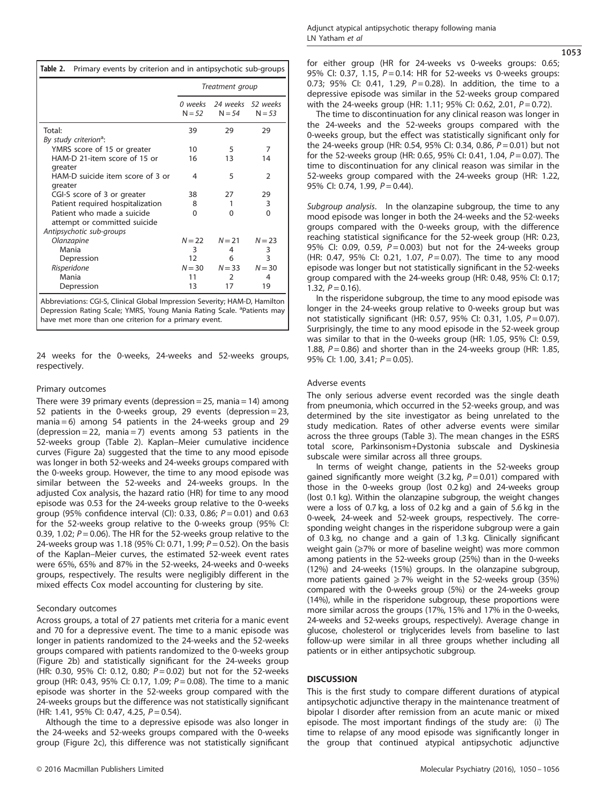|                                                                                        | Treatment group     |                               |                |  |  |
|----------------------------------------------------------------------------------------|---------------------|-------------------------------|----------------|--|--|
|                                                                                        | 0 weeks<br>$N = 52$ | 24 weeks 52 weeks<br>$N = 54$ | $N = 53$       |  |  |
| Total:                                                                                 | 39                  | 29                            | 29             |  |  |
| By study criterion <sup>a</sup> :                                                      |                     |                               |                |  |  |
| YMRS score of 15 or greater                                                            | 10                  | 5                             | 7              |  |  |
| HAM-D 21-item score of 15 or<br>areater                                                | 16                  | 13                            | 14             |  |  |
| HAM-D suicide item score of 3 or<br>greater                                            | 4                   | 5                             | $\overline{2}$ |  |  |
| CGI-S score of 3 or greater                                                            | 38                  | 27                            | 29             |  |  |
| Patient required hospitalization                                                       | 8                   | 1                             | 3              |  |  |
| Patient who made a suicide<br>attempt or committed suicide<br>Antipsychotic sub-groups | 0                   | $\Omega$                      | $\Omega$       |  |  |
| Olanzapine                                                                             | $N = 22$            | $N = 21$                      | $N = 23$       |  |  |
| Mania                                                                                  | 3                   | 4                             | 3              |  |  |
| Depression                                                                             | 12                  | 6                             | 3              |  |  |
| Risperidone                                                                            | $N = 30$            | $N = 33$                      | $N = 30$       |  |  |
| Mania                                                                                  | 11                  | $\mathcal{P}$                 | 4              |  |  |
| Depression                                                                             | 13                  | 17                            | 19             |  |  |

Abbreviations: CGI-S, Clinical Global Impression Severity; HAM-D, Hamilton Depression Rating Scale; YMRS, Young Mania Rating Scale. <sup>a</sup>Patients may have met more than one criterion for a primary event.

24 weeks for the 0-weeks, 24-weeks and 52-weeks groups, respectively.

## Primary outcomes

There were 39 primary events (depression  $= 25$ , mania  $= 14$ ) among 52 patients in the 0-weeks group, 29 events (depression = 23, mania = 6) among 54 patients in the 24-weeks group and 29  $(depression = 22, mania = 7)$  events among 53 patients in the 52-weeks group (Table 2). Kaplan–Meier cumulative incidence curves (Figure 2a) suggested that the time to any mood episode was longer in both 52-weeks and 24-weeks groups compared with the 0-weeks group. However, the time to any mood episode was similar between the 52-weeks and 24-weeks groups. In the adjusted Cox analysis, the hazard ratio (HR) for time to any mood episode was 0.53 for the 24-weeks group relative to the 0-weeks group (95% confidence interval (CI): 0.33, 0.86;  $P = 0.01$ ) and 0.63 for the 52-weeks group relative to the 0-weeks group (95% CI: 0.39, 1.02;  $P = 0.06$ ). The HR for the 52-weeks group relative to the 24-weeks group was 1.18 (95% CI: 0.71, 1.99;  $P = 0.52$ ). On the basis of the Kaplan–Meier curves, the estimated 52-week event rates were 65%, 65% and 87% in the 52-weeks, 24-weeks and 0-weeks groups, respectively. The results were negligibly different in the mixed effects Cox model accounting for clustering by site.

## Secondary outcomes

Across groups, a total of 27 patients met criteria for a manic event and 70 for a depressive event. The time to a manic episode was longer in patients randomized to the 24-weeks and the 52-weeks groups compared with patients randomized to the 0-weeks group (Figure 2b) and statistically significant for the 24-weeks group (HR: 0.30, 95% CI: 0.12, 0.80;  $P = 0.02$ ) but not for the 52-weeks group (HR: 0.43, 95% CI: 0.17, 1.09;  $P = 0.08$ ). The time to a manic episode was shorter in the 52-weeks group compared with the 24-weeks groups but the difference was not statistically significant (HR: 1.41, 95% CI: 0.47, 4.25, P = 0.54).

Although the time to a depressive episode was also longer in the 24-weeks and 52-weeks groups compared with the 0-weeks group (Figure 2c), this difference was not statistically significant for either group (HR for 24-weeks vs 0-weeks groups: 0.65; 95% CI: 0.37, 1.15, P = 0.14: HR for 52-weeks vs 0-weeks groups: 0.73; 95% CI: 0.41, 1.29,  $P = 0.28$ ). In addition, the time to a depressive episode was similar in the 52-weeks group compared with the 24-weeks group (HR: 1.11; 95% CI: 0.62, 2.01,  $P = 0.72$ ).

The time to discontinuation for any clinical reason was longer in the 24-weeks and the 52-weeks groups compared with the 0-weeks group, but the effect was statistically significant only for the 24-weeks group (HR: 0.54, 95% CI: 0.34, 0.86,  $P = 0.01$ ) but not for the 52-weeks group (HR: 0.65, 95% CI: 0.41, 1.04, P = 0.07). The time to discontinuation for any clinical reason was similar in the 52-weeks group compared with the 24-weeks group (HR: 1.22, 95% CI: 0.74, 1.99, P = 0.44).

Subgroup analysis. In the olanzapine subgroup, the time to any mood episode was longer in both the 24-weeks and the 52-weeks groups compared with the 0-weeks group, with the difference reaching statistical significance for the 52-week group (HR: 0.23, 95% CI: 0.09, 0.59, P = 0.003) but not for the 24-weeks group (HR: 0.47, 95% CI: 0.21, 1.07,  $P = 0.07$ ). The time to any mood episode was longer but not statistically significant in the 52-weeks group compared with the 24-weeks group (HR: 0.48, 95% CI: 0.17; 1.32,  $P = 0.16$ ).

In the risperidone subgroup, the time to any mood episode was longer in the 24-weeks group relative to 0-weeks group but was not statistically significant (HR: 0.57, 95% CI: 0.31, 1.05,  $P = 0.07$ ). Surprisingly, the time to any mood episode in the 52-week group was similar to that in the 0-weeks group (HR: 1.05, 95% CI: 0.59, 1.88,  $P = 0.86$ ) and shorter than in the 24-weeks group (HR: 1.85, 95% CI: 1.00, 3.41;  $P = 0.05$ ).

## Adverse events

The only serious adverse event recorded was the single death from pneumonia, which occurred in the 52-weeks group, and was determined by the site investigator as being unrelated to the study medication. Rates of other adverse events were similar across the three groups (Table 3). The mean changes in the ESRS total score, Parkinsonism+Dystonia subscale and Dyskinesia subscale were similar across all three groups.

In terms of weight change, patients in the 52-weeks group gained significantly more weight (3.2 kg,  $P = 0.01$ ) compared with those in the 0-weeks group (lost 0.2 kg) and 24-weeks group (lost 0.1 kg). Within the olanzapine subgroup, the weight changes were a loss of 0.7 kg, a loss of 0.2 kg and a gain of 5.6 kg in the 0-week, 24-week and 52-week groups, respectively. The corresponding weight changes in the risperidone subgroup were a gain of 0.3 kg, no change and a gain of 1.3 kg. Clinically significant weight gain (≥7% or more of baseline weight) was more common among patients in the 52-weeks group (25%) than in the 0-weeks (12%) and 24-weeks (15%) groups. In the olanzapine subgroup, more patients gained  $\geq$  7% weight in the 52-weeks group (35%) compared with the 0-weeks group (5%) or the 24-weeks group (14%), while in the risperidone subgroup, these proportions were more similar across the groups (17%, 15% and 17% in the 0-weeks, 24-weeks and 52-weeks groups, respectively). Average change in glucose, cholesterol or triglycerides levels from baseline to last follow-up were similar in all three groups whether including all patients or in either antipsychotic subgroup.

## **DISCUSSION**

This is the first study to compare different durations of atypical antipsychotic adjunctive therapy in the maintenance treatment of bipolar I disorder after remission from an acute manic or mixed episode. The most important findings of the study are: (i) The time to relapse of any mood episode was significantly longer in the group that continued atypical antipsychotic adjunctive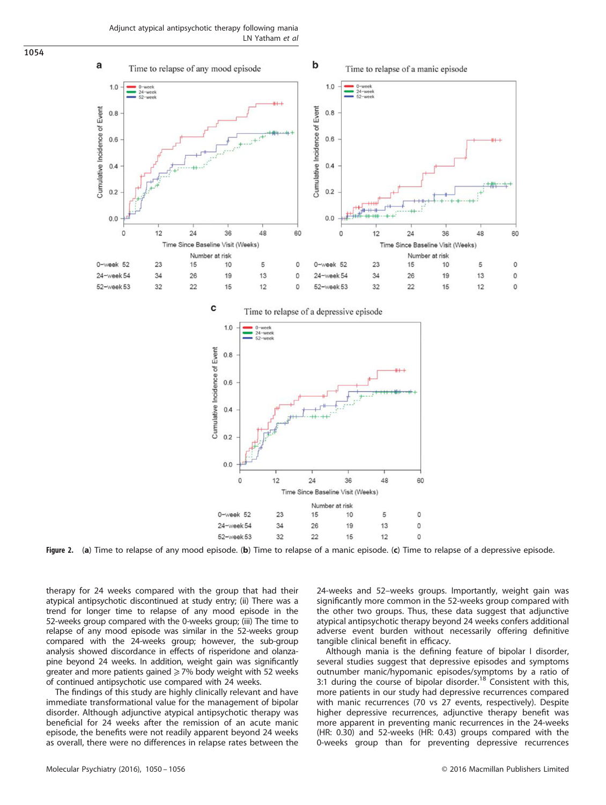Adjunct atypical antipsychotic therapy following mania LN Yatham et al



Figure 2. (a) Time to relapse of any mood episode. (b) Time to relapse of a manic episode. (c) Time to relapse of a depressive episode.

therapy for 24 weeks compared with the group that had their atypical antipsychotic discontinued at study entry; (ii) There was a trend for longer time to relapse of any mood episode in the 52-weeks group compared with the 0-weeks group; (iii) The time to relapse of any mood episode was similar in the 52-weeks group compared with the 24-weeks group; however, the sub-group analysis showed discordance in effects of risperidone and olanzapine beyond 24 weeks. In addition, weight gain was significantly greater and more patients gained  $\geq$  7% body weight with 52 weeks of continued antipsychotic use compared with 24 weeks.

The findings of this study are highly clinically relevant and have immediate transformational value for the management of bipolar disorder. Although adjunctive atypical antipsychotic therapy was beneficial for 24 weeks after the remission of an acute manic episode, the benefits were not readily apparent beyond 24 weeks as overall, there were no differences in relapse rates between the 24-weeks and 52–weeks groups. Importantly, weight gain was significantly more common in the 52-weeks group compared with the other two groups. Thus, these data suggest that adjunctive atypical antipsychotic therapy beyond 24 weeks confers additional adverse event burden without necessarily offering definitive tangible clinical benefit in efficacy.

Although mania is the defining feature of bipolar I disorder, several studies suggest that depressive episodes and symptoms outnumber manic/hypomanic episodes/symptoms by a ratio of<br>3:1 during the course of bipolar disorder.<sup>18</sup> Consistent with this, more patients in our study had depressive recurrences compared with manic recurrences (70 vs 27 events, respectively). Despite higher depressive recurrences, adjunctive therapy benefit was more apparent in preventing manic recurrences in the 24-weeks (HR: 0.30) and 52-weeks (HR: 0.43) groups compared with the 0-weeks group than for preventing depressive recurrences

1054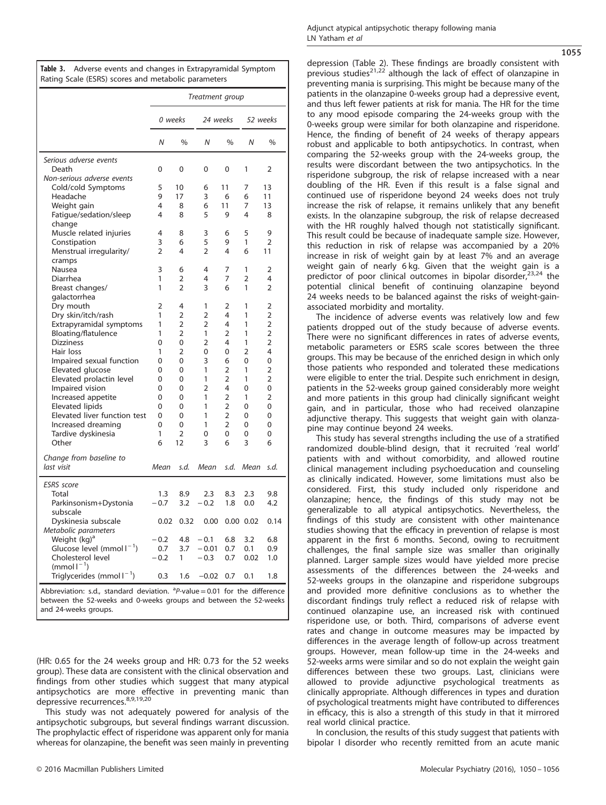|                                                                                                                                                                                | Treatment group |                |                |                |                |                |  |
|--------------------------------------------------------------------------------------------------------------------------------------------------------------------------------|-----------------|----------------|----------------|----------------|----------------|----------------|--|
|                                                                                                                                                                                | 0 weeks         |                | 24 weeks       |                | 52 weeks       |                |  |
|                                                                                                                                                                                | Ν               | $\frac{0}{0}$  | $\overline{N}$ | %              | N              | %              |  |
| Serious adverse events                                                                                                                                                         |                 |                |                |                |                |                |  |
| Death                                                                                                                                                                          | 0               | 0              | 0              | 0              | 1              | 2              |  |
| Non-serious adverse events                                                                                                                                                     |                 |                |                |                |                |                |  |
| Cold/cold Symptoms                                                                                                                                                             | 5<br>9          | 10             | 6              | 11             | 7              | 13             |  |
| Headache                                                                                                                                                                       | 4               | 17<br>8        | 3<br>6         | 6<br>11        | 6<br>7         | 11<br>13       |  |
| Weight gain                                                                                                                                                                    | 4               | 8              | 5              | 9              | 4              | 8              |  |
| Fatigue/sedation/sleep<br>change                                                                                                                                               |                 |                |                |                |                |                |  |
| Muscle related injuries                                                                                                                                                        | 4               | 8              | 3              | 6              | 5              | 9              |  |
| Constipation                                                                                                                                                                   | 3               | 6              | 5              | 9              | 1              | 2              |  |
| Menstrual irregularity/                                                                                                                                                        | $\overline{2}$  | 4              | $\overline{2}$ | 4              | 6              | 11             |  |
| cramps                                                                                                                                                                         |                 |                |                |                |                |                |  |
| Nausea                                                                                                                                                                         | 3               | 6              | 4              | 7              | 1              | 2              |  |
| Diarrhea                                                                                                                                                                       | 1               | 2              | 4              | 7              | $\overline{2}$ | 4              |  |
| Breast changes/                                                                                                                                                                | 1               | 2              | 3              | 6              | 1              | 2              |  |
| galactorrhea                                                                                                                                                                   |                 |                |                |                |                |                |  |
| Dry mouth                                                                                                                                                                      | 2               | 4              | 1              | 2              | 1              | 2              |  |
| Dry skin/itch/rash                                                                                                                                                             | 1               | 2              | 2              | 4              | 1              | 2              |  |
| Extrapyramidal symptoms                                                                                                                                                        | 1               | 2              | 2              | 4              | 1              | $\overline{2}$ |  |
| Bloating/flatulence                                                                                                                                                            | 1               | $\overline{2}$ | 1              | 2              | 1              | 2              |  |
| <b>Dizziness</b>                                                                                                                                                               | 0               | 0              | 2              | 4              | 1              | 2              |  |
| Hair loss                                                                                                                                                                      | 1               | 2              | 0              | 0              | 2              | 4              |  |
| Impaired sexual function                                                                                                                                                       | 0               | 0              | 3              | 6              | 0              | 0              |  |
| Elevated glucose                                                                                                                                                               | 0               | 0              | 1              | 2              | 1              | 2              |  |
| Elevated prolactin level                                                                                                                                                       | 0               | 0              | 1              | $\overline{2}$ | 1              | 2              |  |
| Impaired vision                                                                                                                                                                | 0               | 0              | $\overline{2}$ | 4              | 0              | 0              |  |
| Increased appetite                                                                                                                                                             | 0               | 0              | 1              | $\overline{2}$ | 1              | $\overline{2}$ |  |
| <b>Elevated lipids</b>                                                                                                                                                         | 0               | 0              | 1              | 2              | 0              | 0              |  |
| Elevated liver function test                                                                                                                                                   | 0               | 0              | 1              | 2              | 0              | 0              |  |
| Increased dreaming                                                                                                                                                             | 0               | 0              | 1              | $\overline{2}$ | 0              | 0              |  |
| Tardive dyskinesia                                                                                                                                                             | 1               | 2              | 0              | 0              | 0              | 0              |  |
| Other                                                                                                                                                                          | 6               | 12             | 3              | 6              | 3              | 6              |  |
| Change from baseline to                                                                                                                                                        |                 |                |                |                |                |                |  |
| last visit                                                                                                                                                                     | Mean            | s.d.           | Mean           | s.d.           | Mean           | s.d.           |  |
|                                                                                                                                                                                |                 |                |                |                |                |                |  |
| <b>ESRS</b> score                                                                                                                                                              |                 |                |                |                |                |                |  |
| Total                                                                                                                                                                          | 1.3             | 8.9            | 2.3            | 8.3            | 2.3            | 9.8            |  |
| Parkinsonism+Dystonia                                                                                                                                                          | $-0.7$          | 3.2            | $-0.2$         | 1.8            | 0.0            | 4.2            |  |
| subscale                                                                                                                                                                       |                 |                |                |                |                |                |  |
| Dyskinesia subscale                                                                                                                                                            | 0.02            | 0.32           | 0.00           |                | $0.00$ $0.02$  | 0.14           |  |
| Metabolic parameters                                                                                                                                                           |                 |                |                |                |                |                |  |
| Weight (kg) <sup>a</sup>                                                                                                                                                       | $-0.2$          | 4.8            | $-0.1$         | 6.8            | 3.2            | 6.8            |  |
| Glucose level $(mmol)^{-1}$ )                                                                                                                                                  | 0.7             | 3.7            | $-0.01$        | 0.7            | 0.1            | 0.9            |  |
| Cholesterol level                                                                                                                                                              | $-0.2$          | 1              | $-0.3$         | 0.7            | 0.02           | 1.0            |  |
| $(mmol-1)$                                                                                                                                                                     |                 |                |                |                |                |                |  |
| Triglycerides (mmol $I^{-1}$ )                                                                                                                                                 | 0.3             | 1.6            | $-0.02$        | 0.7            | 0.1            | 1.8            |  |
| Abbreviation: s.d., standard deviation. ${}^{a}P$ -value = 0.01 for the difference<br>between the 52-weeks and 0-weeks groups and between the 52-weeks<br>and 24-weeks groups. |                 |                |                |                |                |                |  |

Table 3. Adverse events and changes in Extrapyramidal Symptom

Rating Scale (ESRS) scores and metabolic parameters

(HR: 0.65 for the 24 weeks group and HR: 0.73 for the 52 weeks group). These data are consistent with the clinical observation and findings from other studies which suggest that many atypical antipsychotics are more effective in preventing manic than depressive recurrences.<sup>8,9,19,20</sup>

This study was not adequately powered for analysis of the antipsychotic subgroups, but several findings warrant discussion. The prophylactic effect of risperidone was apparent only for mania whereas for olanzapine, the benefit was seen mainly in preventing 1055

depression (Table 2). These findings are broadly consistent with previous studies<sup>21,22</sup> although the lack of effect of olanzapine in preventing mania is surprising. This might be because many of the patients in the olanzapine 0-weeks group had a depressive event, and thus left fewer patients at risk for mania. The HR for the time to any mood episode comparing the 24-weeks group with the 0-weeks group were similar for both olanzapine and risperidone. Hence, the finding of benefit of 24 weeks of therapy appears robust and applicable to both antipsychotics. In contrast, when comparing the 52-weeks group with the 24-weeks group, the results were discordant between the two antipsychotics. In the risperidone subgroup, the risk of relapse increased with a near doubling of the HR. Even if this result is a false signal and continued use of risperidone beyond 24 weeks does not truly increase the risk of relapse, it remains unlikely that any benefit exists. In the olanzapine subgroup, the risk of relapse decreased with the HR roughly halved though not statistically significant. This result could be because of inadequate sample size. However, this reduction in risk of relapse was accompanied by a 20% increase in risk of weight gain by at least 7% and an average weight gain of nearly 6 kg. Given that the weight gain is a predictor of poor clinical outcomes in bipolar disorder,<sup>23,24</sup> the potential clinical benefit of continuing olanzapine beyond 24 weeks needs to be balanced against the risks of weight-gainassociated morbidity and mortality.

The incidence of adverse events was relatively low and few patients dropped out of the study because of adverse events. There were no significant differences in rates of adverse events, metabolic parameters or ESRS scale scores between the three groups. This may be because of the enriched design in which only those patients who responded and tolerated these medications were eligible to enter the trial. Despite such enrichment in design, patients in the 52-weeks group gained considerably more weight and more patients in this group had clinically significant weight gain, and in particular, those who had received olanzapine adjunctive therapy. This suggests that weight gain with olanzapine may continue beyond 24 weeks.

This study has several strengths including the use of a stratified randomized double-blind design, that it recruited 'real world' patients with and without comorbidity, and allowed routine clinical management including psychoeducation and counseling as clinically indicated. However, some limitations must also be considered. First, this study included only risperidone and olanzapine; hence, the findings of this study may not be generalizable to all atypical antipsychotics. Nevertheless, the findings of this study are consistent with other maintenance studies showing that the efficacy in prevention of relapse is most apparent in the first 6 months. Second, owing to recruitment challenges, the final sample size was smaller than originally planned. Larger sample sizes would have yielded more precise assessments of the differences between the 24-weeks and 52-weeks groups in the olanzapine and risperidone subgroups and provided more definitive conclusions as to whether the discordant findings truly reflect a reduced risk of relapse with continued olanzapine use, an increased risk with continued risperidone use, or both. Third, comparisons of adverse event rates and change in outcome measures may be impacted by differences in the average length of follow-up across treatment groups. However, mean follow-up time in the 24-weeks and 52-weeks arms were similar and so do not explain the weight gain differences between these two groups. Last, clinicians were allowed to provide adjunctive psychological treatments as clinically appropriate. Although differences in types and duration of psychological treatments might have contributed to differences in efficacy, this is also a strength of this study in that it mirrored real world clinical practice.

In conclusion, the results of this study suggest that patients with bipolar I disorder who recently remitted from an acute manic